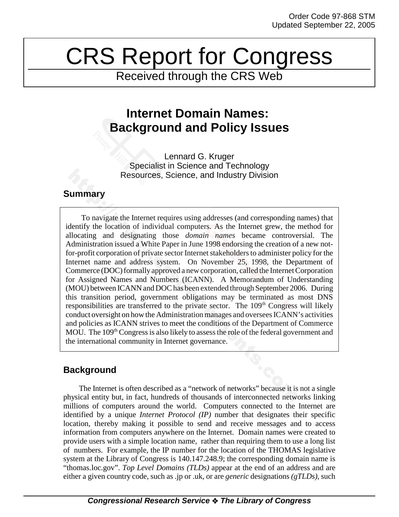# CRS Report for Congress

Received through the CRS Web

# **Internet Domain Names: Background and Policy Issues**

Lennard G. Kruger Specialist in Science and Technology Resources, Science, and Industry Division

### **Summary**

To navigate the Internet requires using addresses (and corresponding names) that identify the location of individual computers. As the Internet grew, the method for allocating and designating those *domain names* became controversial. The Administration issued a White Paper in June 1998 endorsing the creation of a new notfor-profit corporation of private sector Internet stakeholders to administer policy for the Internet name and address system. On November 25, 1998, the Department of Commerce (DOC) formally approved a new corporation, called the Internet Corporation for Assigned Names and Numbers (ICANN). A Memorandum of Understanding (MOU) between ICANN and DOC has been extended through September 2006. During this transition period, government obligations may be terminated as most DNS responsibilities are transferred to the private sector. The  $109<sup>th</sup>$  Congress will likely conduct oversight on how the Administration manages and oversees ICANN's activities and policies as ICANN strives to meet the conditions of the Department of Commerce MOU. The 109<sup>th</sup> Congress is also likely to assess the role of the federal government and the international community in Internet governance.

## **Background**

The Internet is often described as a "network of networks" because it is not a single physical entity but, in fact, hundreds of thousands of interconnected networks linking millions of computers around the world. Computers connected to the Internet are identified by a unique *Internet Protocol (IP)* number that designates their specific location, thereby making it possible to send and receive messages and to access information from computers anywhere on the Internet. Domain names were created to provide users with a simple location name, rather than requiring them to use a long list of numbers. For example, the IP number for the location of the THOMAS legislative system at the Library of Congress is 140.147.248.9; the corresponding domain name is "thomas.loc.gov". *Top Level Domains (TLDs)* appear at the end of an address and are either a given country code, such as .jp or .uk, or are *generic* designations *(gTLDs)*, such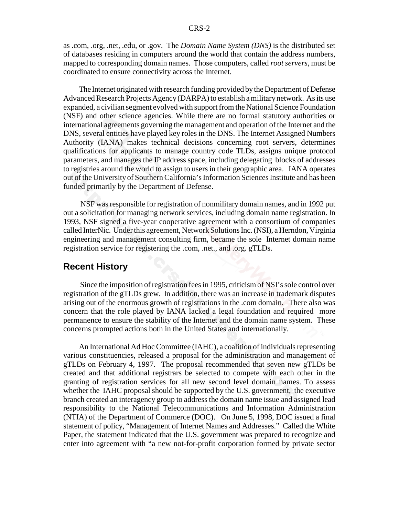as .com, .org, .net, .edu, or .gov. The *Domain Name System (DNS)* is the distributed set of databases residing in computers around the world that contain the address numbers, mapped to corresponding domain names. Those computers, called *root servers*, must be coordinated to ensure connectivity across the Internet.

The Internet originated with research funding provided by the Department of Defense Advanced Research Projects Agency (DARPA) to establish a military network. As its use expanded, a civilian segment evolved with support from the National Science Foundation (NSF) and other science agencies. While there are no formal statutory authorities or international agreements governing the management and operation of the Internet and the DNS, several entities have played key roles in the DNS. The Internet Assigned Numbers Authority (IANA) makes technical decisions concerning root servers, determines qualifications for applicants to manage country code TLDs, assigns unique protocol parameters, and manages the IP address space, including delegating blocks of addresses to registries around the world to assign to users in their geographic area. IANA operates out of the University of Southern California's Information Sciences Institute and has been funded primarily by the Department of Defense.

 NSF was responsible for registration of nonmilitary domain names, and in 1992 put out a solicitation for managing network services, including domain name registration. In 1993, NSF signed a five-year cooperative agreement with a consortium of companies called InterNic. Under this agreement, Network Solutions Inc. (NSI), a Herndon, Virginia engineering and management consulting firm, became the sole Internet domain name registration service for registering the .com, .net., and .org. gTLDs.

#### **Recent History**

 Since the imposition of registration fees in 1995, criticism of NSI's sole control over registration of the gTLDs grew. In addition, there was an increase in trademark disputes arising out of the enormous growth of registrations in the .com domain. There also was concern that the role played by IANA lacked a legal foundation and required more permanence to ensure the stability of the Internet and the domain name system. These concerns prompted actions both in the United States and internationally.

An International Ad Hoc Committee (IAHC), a coalition of individuals representing various constituencies, released a proposal for the administration and management of gTLDs on February 4, 1997. The proposal recommended that seven new gTLDs be created and that additional registrars be selected to compete with each other in the granting of registration services for all new second level domain names. To assess whether the IAHC proposal should be supported by the U.S. government, the executive branch created an interagency group to address the domain name issue and assigned lead responsibility to the National Telecommunications and Information Administration (NTIA) of the Department of Commerce (DOC). On June 5, 1998, DOC issued a final statement of policy, "Management of Internet Names and Addresses." Called the White Paper, the statement indicated that the U.S. government was prepared to recognize and enter into agreement with "a new not-for-profit corporation formed by private sector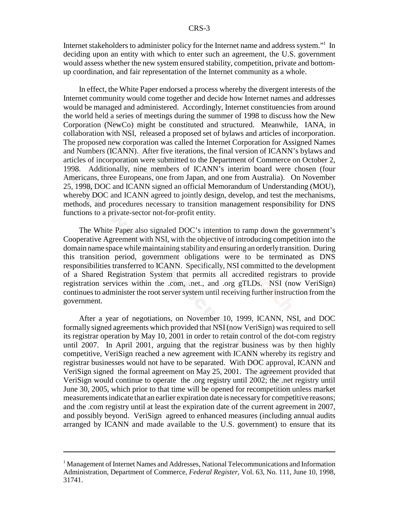Internet stakeholders to administer policy for the Internet name and address system."<sup>1</sup> In deciding upon an entity with which to enter such an agreement, the U.S. government would assess whether the new system ensured stability, competition, private and bottomup coordination, and fair representation of the Internet community as a whole.

In effect, the White Paper endorsed a process whereby the divergent interests of the Internet community would come together and decide how Internet names and addresses would be managed and administered. Accordingly, Internet constituencies from around the world held a series of meetings during the summer of 1998 to discuss how the New Corporation (NewCo) might be constituted and structured. Meanwhile, IANA, in collaboration with NSI, released a proposed set of bylaws and articles of incorporation. The proposed new corporation was called the Internet Corporation for Assigned Names and Numbers (ICANN). After five iterations, the final version of ICANN's bylaws and articles of incorporation were submitted to the Department of Commerce on October 2, 1998. Additionally, nine members of ICANN's interim board were chosen (four Americans, three Europeans, one from Japan, and one from Australia). On November 25, 1998, DOC and ICANN signed an official Memorandum of Understanding (MOU), whereby DOC and ICANN agreed to jointly design, develop, and test the mechanisms, methods, and procedures necessary to transition management responsibility for DNS functions to a private-sector not-for-profit entity.

The White Paper also signaled DOC's intention to ramp down the government's Cooperative Agreement with NSI, with the objective of introducing competition into the domain name space while maintaining stability and ensuring an orderly transition. During this transition period, government obligations were to be terminated as DNS responsibilities transferred to ICANN. Specifically, NSI committed to the development of a Shared Registration System that permits all accredited registrars to provide registration services within the .com, .net., and .org gTLDs. NSI (now VeriSign) continues to administer the root server system until receiving further instruction from the government.

After a year of negotiations, on November 10, 1999, ICANN, NSI, and DOC formally signed agreements which provided that NSI (now VeriSign) was required to sell its registrar operation by May 10, 2001 in order to retain control of the dot-com registry until 2007. In April 2001, arguing that the registrar business was by then highly competitive, VeriSign reached a new agreement with ICANN whereby its registry and registrar businesses would not have to be separated. With DOC approval, ICANN and VeriSign signed the formal agreement on May 25, 2001. The agreement provided that VeriSign would continue to operate the .org registry until 2002; the .net registry until June 30, 2005, which prior to that time will be opened for recompetition unless market measurements indicate that an earlier expiration date is necessary for competitive reasons; and the .com registry until at least the expiration date of the current agreement in 2007, and possibly beyond. VeriSign agreed to enhanced measures (including annual audits arranged by ICANN and made available to the U.S. government) to ensure that its

<sup>&</sup>lt;sup>1</sup> Management of Internet Names and Addresses, National Telecommunications and Information Administration, Department of Commerce, *Federal Register*, Vol. 63, No. 111, June 10, 1998, 31741.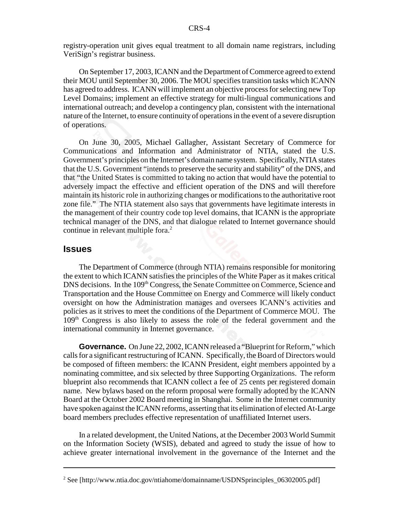registry-operation unit gives equal treatment to all domain name registrars, including VeriSign's registrar business.

On September 17, 2003, ICANN and the Department of Commerce agreed to extend their MOU until September 30, 2006. The MOU specifies transition tasks which ICANN has agreed to address. ICANN will implement an objective process for selecting new Top Level Domains; implement an effective strategy for multi-lingual communications and international outreach; and develop a contingency plan, consistent with the international nature of the Internet, to ensure continuity of operations in the event of a severe disruption of operations.

On June 30, 2005, Michael Gallagher, Assistant Secretary of Commerce for Communications and Information and Administrator of NTIA, stated the U.S. Government's principles on the Internet's domain name system. Specifically, NTIA states that the U.S. Government "intends to preserve the security and stability" of the DNS, and that "the United States is committed to taking no action that would have the potential to adversely impact the effective and efficient operation of the DNS and will therefore maintain its historic role in authorizing changes or modifications to the authoritative root zone file." The NTIA statement also says that governments have legitimate interests in the management of their country code top level domains, that ICANN is the appropriate technical manager of the DNS, and that dialogue related to Internet governance should continue in relevant multiple fora.<sup>2</sup>

#### **Issues**

The Department of Commerce (through NTIA) remains responsible for monitoring the extent to which ICANN satisfies the principles of the White Paper as it makes critical DNS decisions. In the 109<sup>th</sup> Congress, the Senate Committee on Commerce, Science and Transportation and the House Committee on Energy and Commerce will likely conduct oversight on how the Administration manages and oversees ICANN's activities and policies as it strives to meet the conditions of the Department of Commerce MOU. The  $109<sup>th</sup>$  Congress is also likely to assess the role of the federal government and the international community in Internet governance.

**Governance.** On June 22, 2002, ICANN released a "Blueprint for Reform," which calls for a significant restructuring of ICANN. Specifically, the Board of Directors would be composed of fifteen members: the ICANN President, eight members appointed by a nominating committee, and six selected by three Supporting Organizations. The reform blueprint also recommends that ICANN collect a fee of 25 cents per registered domain name. New bylaws based on the reform proposal were formally adopted by the ICANN Board at the October 2002 Board meeting in Shanghai. Some in the Internet community have spoken against the ICANN reforms, asserting that its elimination of elected At-Large board members precludes effective representation of unaffiliated Internet users.

In a related development, the United Nations, at the December 2003 World Summit on the Information Society (WSIS), debated and agreed to study the issue of how to achieve greater international involvement in the governance of the Internet and the

<sup>&</sup>lt;sup>2</sup> See [http://www.ntia.doc.gov/ntiahome/domainname/USDNSprinciples\_06302005.pdf]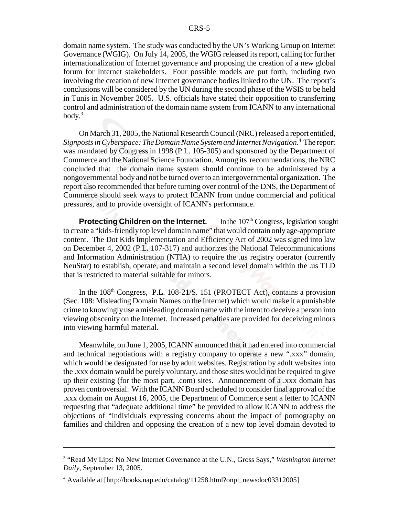domain name system. The study was conducted by the UN's Working Group on Internet Governance (WGIG). On July 14, 2005, the WGIG released its report, calling for further internationalization of Internet governance and proposing the creation of a new global forum for Internet stakeholders. Four possible models are put forth, including two involving the creation of new Internet governance bodies linked to the UN. The report's conclusions will be considered by the UN during the second phase of the WSIS to be held in Tunis in November 2005. U.S. officials have stated their opposition to transferring control and administration of the domain name system from ICANN to any international body. $3$ 

On March 31, 2005, the National Research Council (NRC) released a report entitled, *Signposts in Cyberspace: The Domain Name System and Internet Navigation*. 4 The report was mandated by Congress in 1998 (P.L. 105-305) and sponsored by the Department of Commerce and the National Science Foundation. Among its recommendations, the NRC concluded that the domain name system should continue to be administered by a nongovernmental body and not be turned over to an intergovernmental organization. The report also recommended that before turning over control of the DNS, the Department of Commerce should seek ways to protect ICANN from undue commercial and political pressures, and to provide oversight of ICANN's performance.

**Protecting Children on the Internet.** In the 107<sup>th</sup> Congress, legislation sought to create a "kids-friendly top level domain name" that would contain only age-appropriate content. The Dot Kids Implementation and Efficiency Act of 2002 was signed into law on December 4, 2002 (P.L. 107-317) and authorizes the National Telecommunications and Information Administration (NTIA) to require the .us registry operator (currently NeuStar) to establish, operate, and maintain a second level domain within the .us TLD that is restricted to material suitable for minors.

In the  $108<sup>th</sup>$  Congress, P.L.  $108-21/S$ . 151 (PROTECT Act), contains a provision (Sec. 108: Misleading Domain Names on the Internet) which would make it a punishable crime to knowingly use a misleading domain name with the intent to deceive a person into viewing obscenity on the Internet. Increased penalties are provided for deceiving minors into viewing harmful material.

Meanwhile, on June 1, 2005, ICANN announced that it had entered into commercial and technical negotiations with a registry company to operate a new ".xxx" domain, which would be designated for use by adult websites. Registration by adult websites into the .xxx domain would be purely voluntary, and those sites would not be required to give up their existing (for the most part, .com) sites. Announcement of a .xxx domain has proven controversial. With the ICANN Board scheduled to consider final approval of the .xxx domain on August 16, 2005, the Department of Commerce sent a letter to ICANN requesting that "adequate additional time" be provided to allow ICANN to address the objections of "individuals expressing concerns about the impact of pornography on families and children and opposing the creation of a new top level domain devoted to

<sup>&</sup>lt;sup>3</sup> "Read My Lips: No New Internet Governance at the U.N., Gross Says," *Washington Internet Daily*, September 13, 2005.

<sup>4</sup> Available at [http://books.nap.edu/catalog/11258.html?onpi\_newsdoc03312005]